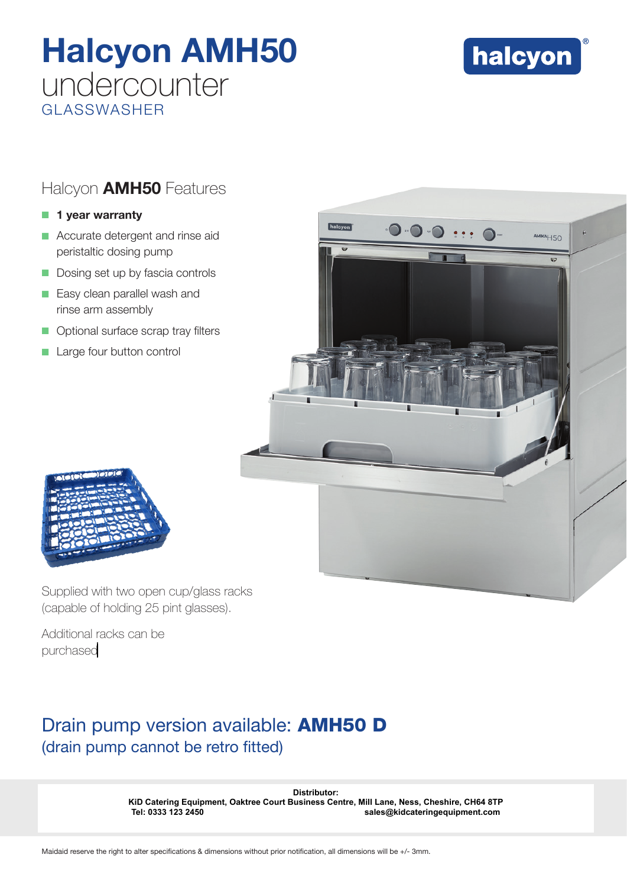# Halcyon AMH50 undercounter GLASSWASHER



## Halcyon **AMH50** Features

### $\blacksquare$  1 year warranty

- $\blacksquare$  Accurate detergent and rinse aid peristaltic dosing pump
- $\blacksquare$  Dosing set up by fascia controls
- **Easy clean parallel wash and** rinse arm assembly
- **Optional surface scrap tray filters**
- Large four button control





Supplied with two open cup/glass racks (capable of holding 25 pint glasses).

Additional racks can be purchased

# Drain pump version available: **AMH50 D** (drain pump cannot be retro fitted)

Distributor:<br>**KiD Catering Equipment, Oaktree Court Business Centre, Mill Lane, Ness, C<br>Tel: 0333 123 2450<br>Maidaid reserve the right to alter specifications & dimensions without prior notification, all dimensions will be + KiD Catering Equipment, Oaktree Court Business Centre, Mill Lane, Ness, Cheshire, CH64 8TP Tel: 0333 123 2450 sales@kidcateringequipment.com**